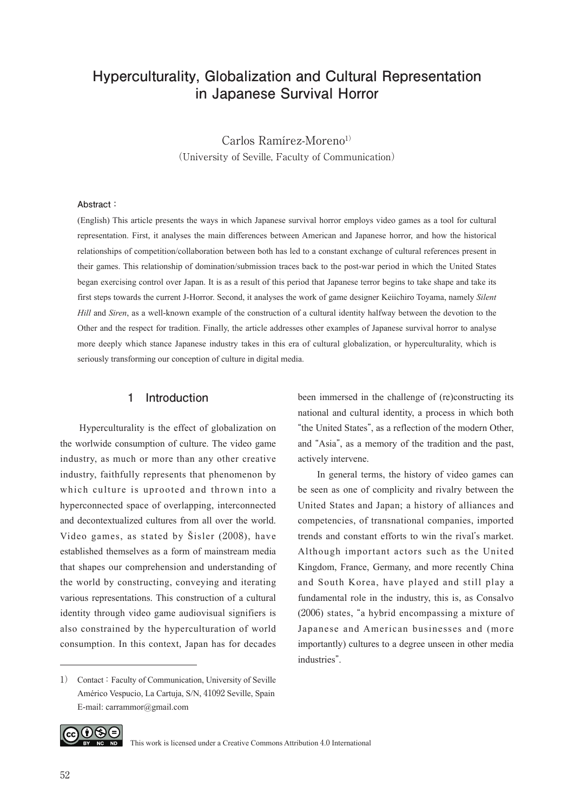# **Hyperculturality, Globalization and Cultural Representation in Japanese Survival Horror**

Carlos Ramírez-Moreno<sup>1)</sup> (University of Seville, Faculty of Communication)

#### **Abstract:**

(English) This article presents the ways in which Japanese survival horror employs video games as a tool for cultural representation. First, it analyses the main differences between American and Japanese horror, and how the historical relationships of competition/collaboration between both has led to a constant exchange of cultural references present in their games. This relationship of domination/submission traces back to the post-war period in which the United States began exercising control over Japan. It is as a result of this period that Japanese terror begins to take shape and take its first steps towards the current J-Horror. Second, it analyses the work of game designer Keiichiro Toyama, namely *Silent Hill* and *Siren*, as a well-known example of the construction of a cultural identity halfway between the devotion to the Other and the respect for tradition. Finally, the article addresses other examples of Japanese survival horror to analyse more deeply which stance Japanese industry takes in this era of cultural globalization, or hyperculturality, which is seriously transforming our conception of culture in digital media.

### **1 Introduction**

Hyperculturality is the effect of globalization on the worlwide consumption of culture. The video game industry, as much or more than any other creative industry, faithfully represents that phenomenon by which culture is uprooted and thrown into a hyperconnected space of overlapping, interconnected and decontextualized cultures from all over the world. Video games, as stated by Šisler (2008), have established themselves as a form of mainstream media that shapes our comprehension and understanding of the world by constructing, conveying and iterating various representations. This construction of a cultural identity through video game audiovisual signifiers is also constrained by the hyperculturation of world consumption. In this context, Japan has for decades been immersed in the challenge of (re)constructing its national and cultural identity, a process in which both "the United States", as a reflection of the modern Other, and "Asia", as a memory of the tradition and the past, actively intervene.

In general terms, the history of video games can be seen as one of complicity and rivalry between the United States and Japan; a history of alliances and competencies, of transnational companies, imported trends and constant efforts to win the rival's market. Although important actors such as the United Kingdom, France, Germany, and more recently China and South Korea, have played and still play a fundamental role in the industry, this is, as Consalvo (2006) states, "a hybrid encompassing a mixture of Japanese and American businesses and (more importantly) cultures to a degree unseen in other media industries".



This work is licensed under a Creative Commons Attribution 4.0 International

<sup>1)</sup> Contact: Faculty of Communication, University of Seville Américo Vespucio, La Cartuja, S/N, 41092 Seville, Spain E-mail: carrammor@gmail.com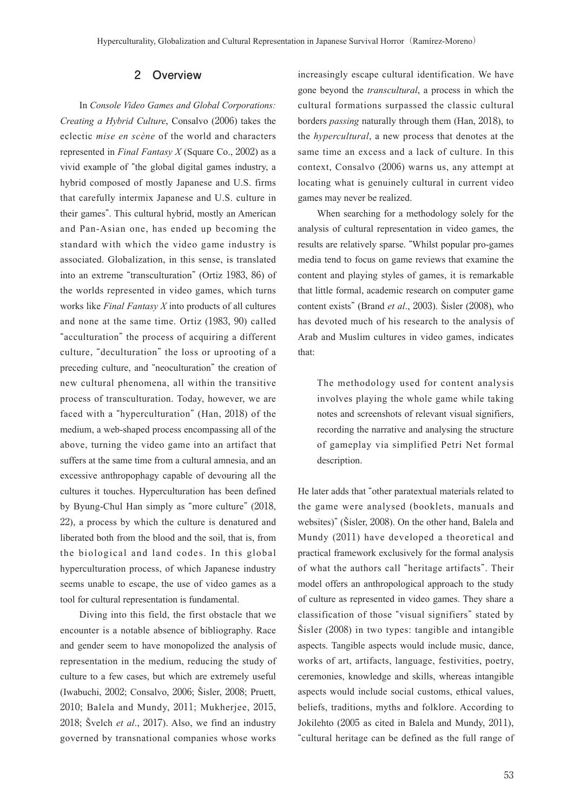### **2 Overview**

In *Console Video Games and Global Corporations: Creating a Hybrid Culture*, Consalvo (2006) takes the eclectic *mise en scène* of the world and characters represented in *Final Fantasy X* (Square Co., 2002) as a vivid example of "the global digital games industry, a hybrid composed of mostly Japanese and U.S. firms that carefully intermix Japanese and U.S. culture in their games". This cultural hybrid, mostly an American and Pan-Asian one, has ended up becoming the standard with which the video game industry is associated. Globalization, in this sense, is translated into an extreme "transculturation" (Ortiz 1983, 86) of the worlds represented in video games, which turns works like *Final Fantasy X* into products of all cultures and none at the same time. Ortiz (1983, 90) called "acculturation" the process of acquiring a different culture, "deculturation" the loss or uprooting of a preceding culture, and "neoculturation" the creation of new cultural phenomena, all within the transitive process of transculturation. Today, however, we are faced with a "hyperculturation" (Han, 2018) of the medium, a web-shaped process encompassing all of the above, turning the video game into an artifact that suffers at the same time from a cultural amnesia, and an excessive anthropophagy capable of devouring all the cultures it touches. Hyperculturation has been defined by Byung-Chul Han simply as "more culture" (2018, 22), a process by which the culture is denatured and liberated both from the blood and the soil, that is, from the biological and land codes. In this global hyperculturation process, of which Japanese industry seems unable to escape, the use of video games as a tool for cultural representation is fundamental.

Diving into this field, the first obstacle that we encounter is a notable absence of bibliography. Race and gender seem to have monopolized the analysis of representation in the medium, reducing the study of culture to a few cases, but which are extremely useful (Iwabuchi, 2002; Consalvo, 2006; Šisler, 2008; Pruett, 2010; Balela and Mundy, 2011; Mukherjee, 2015, 2018; Švelch *et al*., 2017). Also, we find an industry governed by transnational companies whose works

increasingly escape cultural identification. We have gone beyond the *transcultural*, a process in which the cultural formations surpassed the classic cultural borders *passing* naturally through them (Han, 2018), to the *hypercultural*, a new process that denotes at the same time an excess and a lack of culture. In this context, Consalvo (2006) warns us, any attempt at locating what is genuinely cultural in current video games may never be realized.

When searching for a methodology solely for the analysis of cultural representation in video games, the results are relatively sparse. "Whilst popular pro-games media tend to focus on game reviews that examine the content and playing styles of games, it is remarkable that little formal, academic research on computer game content exists" (Brand *et al*., 2003). Šisler (2008), who has devoted much of his research to the analysis of Arab and Muslim cultures in video games, indicates that:

The methodology used for content analysis involves playing the whole game while taking notes and screenshots of relevant visual signifiers, recording the narrative and analysing the structure of gameplay via simplified Petri Net formal description.

He later adds that "other paratextual materials related to the game were analysed (booklets, manuals and websites)" (Šisler, 2008). On the other hand, Balela and Mundy (2011) have developed a theoretical and practical framework exclusively for the formal analysis of what the authors call "heritage artifacts". Their model offers an anthropological approach to the study of culture as represented in video games. They share a classification of those "visual signifiers" stated by Šisler (2008) in two types: tangible and intangible aspects. Tangible aspects would include music, dance, works of art, artifacts, language, festivities, poetry, ceremonies, knowledge and skills, whereas intangible aspects would include social customs, ethical values, beliefs, traditions, myths and folklore. According to Jokilehto (2005 as cited in Balela and Mundy, 2011), "cultural heritage can be defined as the full range of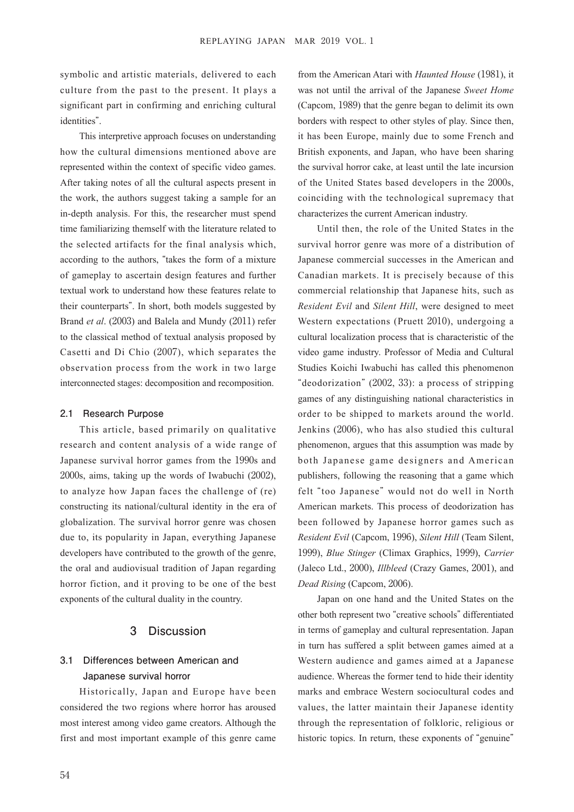symbolic and artistic materials, delivered to each culture from the past to the present. It plays a significant part in confirming and enriching cultural identities".

This interpretive approach focuses on understanding how the cultural dimensions mentioned above are represented within the context of specific video games. After taking notes of all the cultural aspects present in the work, the authors suggest taking a sample for an in-depth analysis. For this, the researcher must spend time familiarizing themself with the literature related to the selected artifacts for the final analysis which, according to the authors, "takes the form of a mixture of gameplay to ascertain design features and further textual work to understand how these features relate to their counterparts". In short, both models suggested by Brand *et al*. (2003) and Balela and Mundy (2011) refer to the classical method of textual analysis proposed by Casetti and Di Chio (2007), which separates the observation process from the work in two large interconnected stages: decomposition and recomposition.

#### **2.1 Research Purpose**

This article, based primarily on qualitative research and content analysis of a wide range of Japanese survival horror games from the 1990s and 2000s, aims, taking up the words of Iwabuchi (2002), to analyze how Japan faces the challenge of (re) constructing its national/cultural identity in the era of globalization. The survival horror genre was chosen due to, its popularity in Japan, everything Japanese developers have contributed to the growth of the genre, the oral and audiovisual tradition of Japan regarding horror fiction, and it proving to be one of the best exponents of the cultural duality in the country.

### **3 Discussion**

# **3.1 Differences between American and Japanese survival horror**

Historically, Japan and Europe have been considered the two regions where horror has aroused most interest among video game creators. Although the first and most important example of this genre came

from the American Atari with *Haunted House* (1981), it was not until the arrival of the Japanese *Sweet Home*  (Capcom, 1989) that the genre began to delimit its own borders with respect to other styles of play. Since then, it has been Europe, mainly due to some French and British exponents, and Japan, who have been sharing the survival horror cake, at least until the late incursion of the United States based developers in the 2000s, coinciding with the technological supremacy that characterizes the current American industry.

Until then, the role of the United States in the survival horror genre was more of a distribution of Japanese commercial successes in the American and Canadian markets. It is precisely because of this commercial relationship that Japanese hits, such as *Resident Evil* and *Silent Hill*, were designed to meet Western expectations (Pruett 2010), undergoing a cultural localization process that is characteristic of the video game industry. Professor of Media and Cultural Studies Koichi Iwabuchi has called this phenomenon "deodorization" (2002, 33): a process of stripping games of any distinguishing national characteristics in order to be shipped to markets around the world. Jenkins (2006), who has also studied this cultural phenomenon, argues that this assumption was made by both Japanese game designers and American publishers, following the reasoning that a game which felt "too Japanese" would not do well in North American markets. This process of deodorization has been followed by Japanese horror games such as *Resident Evil* (Capcom, 1996), *Silent Hill* (Team Silent, 1999), *Blue Stinger* (Climax Graphics, 1999), *Carrier* (Jaleco Ltd., 2000), *Illbleed* (Crazy Games, 2001), and *Dead Rising* (Capcom, 2006).

Japan on one hand and the United States on the other both represent two "creative schools" differentiated in terms of gameplay and cultural representation. Japan in turn has suffered a split between games aimed at a Western audience and games aimed at a Japanese audience. Whereas the former tend to hide their identity marks and embrace Western sociocultural codes and values, the latter maintain their Japanese identity through the representation of folkloric, religious or historic topics. In return, these exponents of "genuine"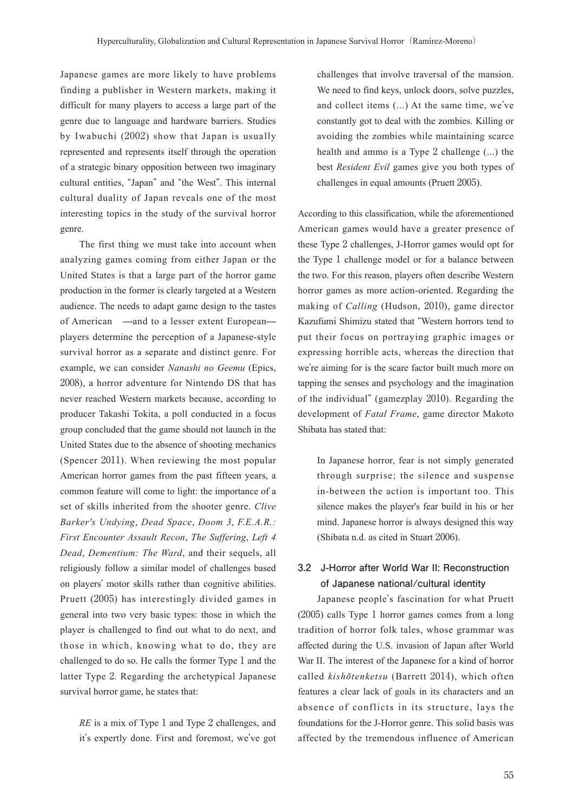Japanese games are more likely to have problems finding a publisher in Western markets, making it difficult for many players to access a large part of the genre due to language and hardware barriers. Studies by Iwabuchi (2002) show that Japan is usually represented and represents itself through the operation of a strategic binary opposition between two imaginary cultural entities, "Japan" and "the West". This internal cultural duality of Japan reveals one of the most interesting topics in the study of the survival horror genre.

The first thing we must take into account when analyzing games coming from either Japan or the United States is that a large part of the horror game production in the former is clearly targeted at a Western audience. The needs to adapt game design to the tastes of American —and to a lesser extent European players determine the perception of a Japanese-style survival horror as a separate and distinct genre. For example, we can consider *Nanashi no Geemu* (Epics, 2008), a horror adventure for Nintendo DS that has never reached Western markets because, according to producer Takashi Tokita, a poll conducted in a focus group concluded that the game should not launch in the United States due to the absence of shooting mechanics (Spencer 2011). When reviewing the most popular American horror games from the past fifteen years, a common feature will come to light: the importance of a set of skills inherited from the shooter genre. *Clive Barker's Undying*, *Dead Space*, *Doom 3*, *F.E.A.R.: First Encounter Assault Recon*, *The Suffering*, *Left 4 Dead*, *Dementium: The Ward*, and their sequels, all religiously follow a similar model of challenges based on players' motor skills rather than cognitive abilities. Pruett (2005) has interestingly divided games in general into two very basic types: those in which the player is challenged to find out what to do next, and those in which, knowing what to do, they are challenged to do so. He calls the former Type 1 and the latter Type 2. Regarding the archetypical Japanese survival horror game, he states that:

*RE* is a mix of Type 1 and Type 2 challenges, and it's expertly done. First and foremost, we've got challenges that involve traversal of the mansion. We need to find keys, unlock doors, solve puzzles, and collect items (...) At the same time, we've constantly got to deal with the zombies. Killing or avoiding the zombies while maintaining scarce health and ammo is a Type 2 challenge (...) the best *Resident Evil* games give you both types of challenges in equal amounts (Pruett 2005).

According to this classification, while the aforementioned American games would have a greater presence of these Type 2 challenges, J-Horror games would opt for the Type 1 challenge model or for a balance between the two. For this reason, players often describe Western horror games as more action-oriented. Regarding the making of *Calling* (Hudson, 2010), game director Kazufumi Shimizu stated that "Western horrors tend to put their focus on portraying graphic images or expressing horrible acts, whereas the direction that we're aiming for is the scare factor built much more on tapping the senses and psychology and the imagination of the individual" (gamezplay 2010). Regarding the development of *Fatal Frame*, game director Makoto Shibata has stated that:

In Japanese horror, fear is not simply generated through surprise; the silence and suspense in-between the action is important too. This silence makes the player's fear build in his or her mind. Japanese horror is always designed this way (Shibata n.d. as cited in Stuart 2006).

## **3.2 J-Horror after World War II: Reconstruction of Japanese national/cultural identity**

Japanese people's fascination for what Pruett (2005) calls Type 1 horror games comes from a long tradition of horror folk tales, whose grammar was affected during the U.S. invasion of Japan after World War II. The interest of the Japanese for a kind of horror called *kish*ō*tenketsu* (Barrett 2014), which often features a clear lack of goals in its characters and an absence of conflicts in its structure, lays the foundations for the J-Horror genre. This solid basis was affected by the tremendous influence of American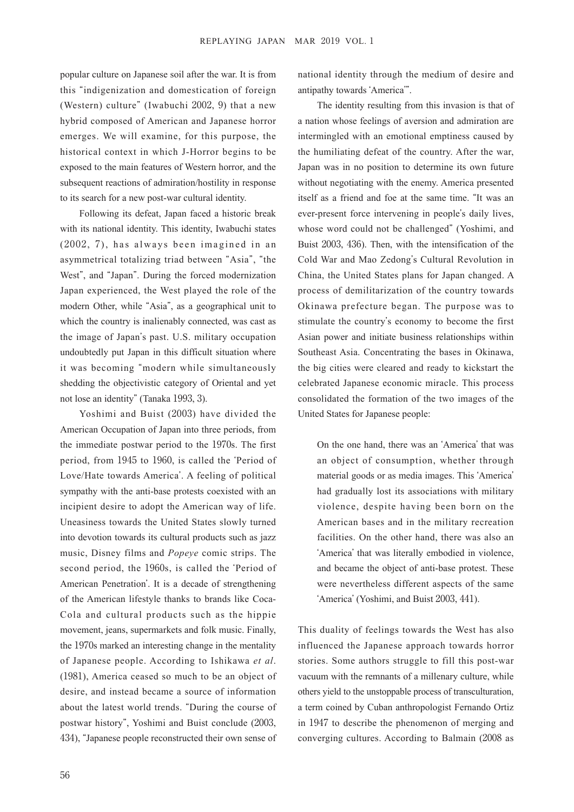popular culture on Japanese soil after the war. It is from this "indigenization and domestication of foreign (Western) culture" (Iwabuchi 2002, 9) that a new hybrid composed of American and Japanese horror emerges. We will examine, for this purpose, the historical context in which J-Horror begins to be exposed to the main features of Western horror, and the subsequent reactions of admiration/hostility in response to its search for a new post-war cultural identity.

Following its defeat, Japan faced a historic break with its national identity. This identity, Iwabuchi states  $(2002, 7)$ , has always been imagined in an asymmetrical totalizing triad between "Asia", "the West", and "Japan". During the forced modernization Japan experienced, the West played the role of the modern Other, while "Asia", as a geographical unit to which the country is inalienably connected, was cast as the image of Japan's past. U.S. military occupation undoubtedly put Japan in this difficult situation where it was becoming "modern while simultaneously shedding the objectivistic category of Oriental and yet not lose an identity" (Tanaka 1993, 3).

Yoshimi and Buist (2003) have divided the American Occupation of Japan into three periods, from the immediate postwar period to the 1970s. The first period, from 1945 to 1960, is called the ʻPeriod of Love/Hate towards America'. A feeling of political sympathy with the anti-base protests coexisted with an incipient desire to adopt the American way of life. Uneasiness towards the United States slowly turned into devotion towards its cultural products such as jazz music, Disney films and *Popeye* comic strips. The second period, the 1960s, is called the ʻPeriod of American Penetration'. It is a decade of strengthening of the American lifestyle thanks to brands like Coca-Cola and cultural products such as the hippie movement, jeans, supermarkets and folk music. Finally, the 1970s marked an interesting change in the mentality of Japanese people. According to Ishikawa *et al*. (1981), America ceased so much to be an object of desire, and instead became a source of information about the latest world trends. "During the course of postwar history", Yoshimi and Buist conclude (2003, 434), "Japanese people reconstructed their own sense of national identity through the medium of desire and antipathy towards ʻAmerica'".

The identity resulting from this invasion is that of a nation whose feelings of aversion and admiration are intermingled with an emotional emptiness caused by the humiliating defeat of the country. After the war, Japan was in no position to determine its own future without negotiating with the enemy. America presented itself as a friend and foe at the same time. "It was an ever-present force intervening in people's daily lives, whose word could not be challenged" (Yoshimi, and Buist 2003, 436). Then, with the intensification of the Cold War and Mao Zedong's Cultural Revolution in China, the United States plans for Japan changed. A process of demilitarization of the country towards Okinawa prefecture began. The purpose was to stimulate the country's economy to become the first Asian power and initiate business relationships within Southeast Asia. Concentrating the bases in Okinawa, the big cities were cleared and ready to kickstart the celebrated Japanese economic miracle. This process consolidated the formation of the two images of the United States for Japanese people:

On the one hand, there was an ʻAmerica' that was an object of consumption, whether through material goods or as media images. This ʻAmerica' had gradually lost its associations with military violence, despite having been born on the American bases and in the military recreation facilities. On the other hand, there was also an ʻAmerica' that was literally embodied in violence, and became the object of anti-base protest. These were nevertheless different aspects of the same ʻAmerica' (Yoshimi, and Buist 2003, 441).

This duality of feelings towards the West has also influenced the Japanese approach towards horror stories. Some authors struggle to fill this post-war vacuum with the remnants of a millenary culture, while others yield to the unstoppable process of transculturation, a term coined by Cuban anthropologist Fernando Ortiz in 1947 to describe the phenomenon of merging and converging cultures. According to Balmain (2008 as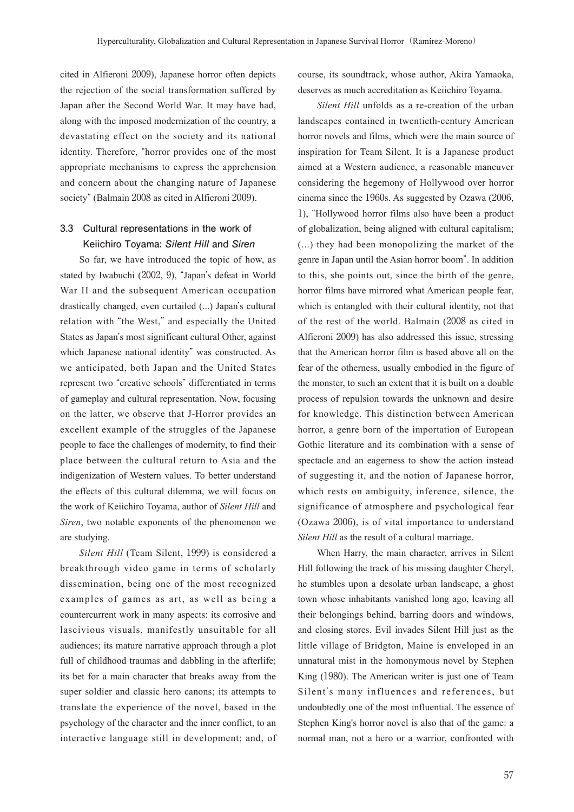cited in Alfieroni 2009), Japanese horror often depicts the rejection of the social transformation suffered by Japan after the Second World War. It may have had, along with the imposed modernization of the country, a devastating effect on the society and its national identity. Therefore, "horror provides one of the most appropriate mechanisms to express the apprehension and concern about the changing nature of Japanese society" (Balmain 2008 as cited in Alfieroni 2009).

## **3.3 Cultural representations in the work of Keiichiro Toyama: Silent Hill and Siren**

So far, we have introduced the topic of how, as stated by Iwabuchi (2002, 9), "Japan's defeat in World War II and the subsequent American occupation drastically changed, even curtailed (...) Japan's cultural relation with "the West," and especially the United States as Japan's most significant cultural Other, against which Japanese national identity" was constructed. As we anticipated, both Japan and the United States represent two "creative schools" differentiated in terms of gameplay and cultural representation. Now, focusing on the latter, we observe that J-Horror provides an excellent example of the struggles of the Japanese people to face the challenges of modernity, to find their place between the cultural return to Asia and the indigenization of Western values. To better understand the effects of this cultural dilemma, we will focus on the work of Keiichiro Toyama, author of *Silent Hill* and *Siren*, two notable exponents of the phenomenon we are studying.

*Silent Hill* (Team Silent, 1999) is considered a breakthrough video game in terms of scholarly dissemination, being one of the most recognized examples of games as art, as well as being a countercurrent work in many aspects: its corrosive and lascivious visuals, manifestly unsuitable for all audiences; its mature narrative approach through a plot full of childhood traumas and dabbling in the afterlife; its bet for a main character that breaks away from the super soldier and classic hero canons; its attempts to translate the experience of the novel, based in the psychology of the character and the inner conflict, to an interactive language still in development; and, of course, its soundtrack, whose author, Akira Yamaoka, deserves as much accreditation as Keiichiro Toyama.

*Silent Hill* unfolds as a re-creation of the urban landscapes contained in twentieth-century American horror novels and films, which were the main source of inspiration for Team Silent. It is a Japanese product aimed at a Western audience, a reasonable maneuver considering the hegemony of Hollywood over horror cinema since the 1960s. As suggested by Ozawa (2006, 1), "Hollywood horror films also have been a product of globalization, being aligned with cultural capitalism; (...) they had been monopolizing the market of the genre in Japan until the Asian horror boom". In addition to this, she points out, since the birth of the genre, horror films have mirrored what American people fear, which is entangled with their cultural identity, not that of the rest of the world. Balmain (2008 as cited in Alfieroni 2009) has also addressed this issue, stressing that the American horror film is based above all on the fear of the otherness, usually embodied in the figure of the monster, to such an extent that it is built on a double process of repulsion towards the unknown and desire for knowledge. This distinction between American horror, a genre born of the importation of European Gothic literature and its combination with a sense of spectacle and an eagerness to show the action instead of suggesting it, and the notion of Japanese horror, which rests on ambiguity, inference, silence, the significance of atmosphere and psychological fear (Ozawa 2006), is of vital importance to understand *Silent Hill* as the result of a cultural marriage.

When Harry, the main character, arrives in Silent Hill following the track of his missing daughter Cheryl, he stumbles upon a desolate urban landscape, a ghost town whose inhabitants vanished long ago, leaving all their belongings behind, barring doors and windows, and closing stores. Evil invades Silent Hill just as the little village of Bridgton, Maine is enveloped in an unnatural mist in the homonymous novel by Stephen King (1980). The American writer is just one of Team Silent's many influences and references, but undoubtedly one of the most influential. The essence of Stephen King's horror novel is also that of the game: a normal man, not a hero or a warrior, confronted with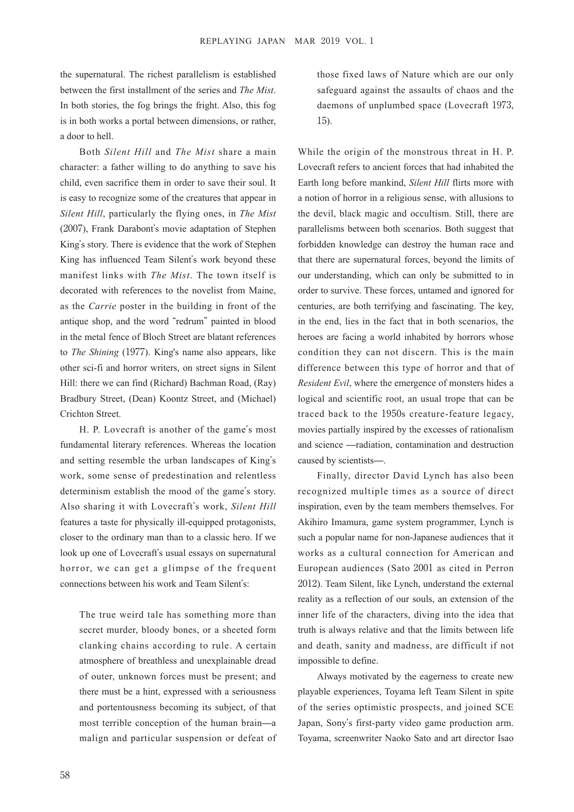the supernatural. The richest parallelism is established between the first installment of the series and *The Mist*. In both stories, the fog brings the fright. Also, this fog is in both works a portal between dimensions, or rather, a door to hell.

Both *Silent Hill* and *The Mist* share a main character: a father willing to do anything to save his child, even sacrifice them in order to save their soul. It is easy to recognize some of the creatures that appear in *Silent Hill*, particularly the flying ones, in *The Mist*  (2007), Frank Darabont's movie adaptation of Stephen King's story. There is evidence that the work of Stephen King has influenced Team Silent's work beyond these manifest links with *The Mist*. The town itself is decorated with references to the novelist from Maine, as the *Carrie* poster in the building in front of the antique shop, and the word "redrum" painted in blood in the metal fence of Bloch Street are blatant references to *The Shining* (1977). King's name also appears, like other sci-fi and horror writers, on street signs in Silent Hill: there we can find (Richard) Bachman Road, (Ray) Bradbury Street, (Dean) Koontz Street, and (Michael) Crichton Street.

H. P. Lovecraft is another of the game's most fundamental literary references. Whereas the location and setting resemble the urban landscapes of King's work, some sense of predestination and relentless determinism establish the mood of the game's story. Also sharing it with Lovecraft's work, *Silent Hill* features a taste for physically ill-equipped protagonists, closer to the ordinary man than to a classic hero. If we look up one of Lovecraft's usual essays on supernatural horror, we can get a glimpse of the frequent connections between his work and Team Silent's:

The true weird tale has something more than secret murder, bloody bones, or a sheeted form clanking chains according to rule. A certain atmosphere of breathless and unexplainable dread of outer, unknown forces must be present; and there must be a hint, expressed with a seriousness and portentousness becoming its subject, of that most terrible conception of the human brain̶a malign and particular suspension or defeat of those fixed laws of Nature which are our only safeguard against the assaults of chaos and the daemons of unplumbed space (Lovecraft 1973, 15).

While the origin of the monstrous threat in H. P. Lovecraft refers to ancient forces that had inhabited the Earth long before mankind, *Silent Hill* flirts more with a notion of horror in a religious sense, with allusions to the devil, black magic and occultism. Still, there are parallelisms between both scenarios. Both suggest that forbidden knowledge can destroy the human race and that there are supernatural forces, beyond the limits of our understanding, which can only be submitted to in order to survive. These forces, untamed and ignored for centuries, are both terrifying and fascinating. The key, in the end, lies in the fact that in both scenarios, the heroes are facing a world inhabited by horrors whose condition they can not discern. This is the main difference between this type of horror and that of *Resident Evil*, where the emergence of monsters hides a logical and scientific root, an usual trope that can be traced back to the 1950s creature-feature legacy, movies partially inspired by the excesses of rationalism and science ̶radiation, contamination and destruction caused by scientists̶.

Finally, director David Lynch has also been recognized multiple times as a source of direct inspiration, even by the team members themselves. For Akihiro Imamura, game system programmer, Lynch is such a popular name for non-Japanese audiences that it works as a cultural connection for American and European audiences (Sato 2001 as cited in Perron 2012). Team Silent, like Lynch, understand the external reality as a reflection of our souls, an extension of the inner life of the characters, diving into the idea that truth is always relative and that the limits between life and death, sanity and madness, are difficult if not impossible to define.

Always motivated by the eagerness to create new playable experiences, Toyama left Team Silent in spite of the series optimistic prospects, and joined SCE Japan, Sony's first-party video game production arm. Toyama, screenwriter Naoko Sato and art director Isao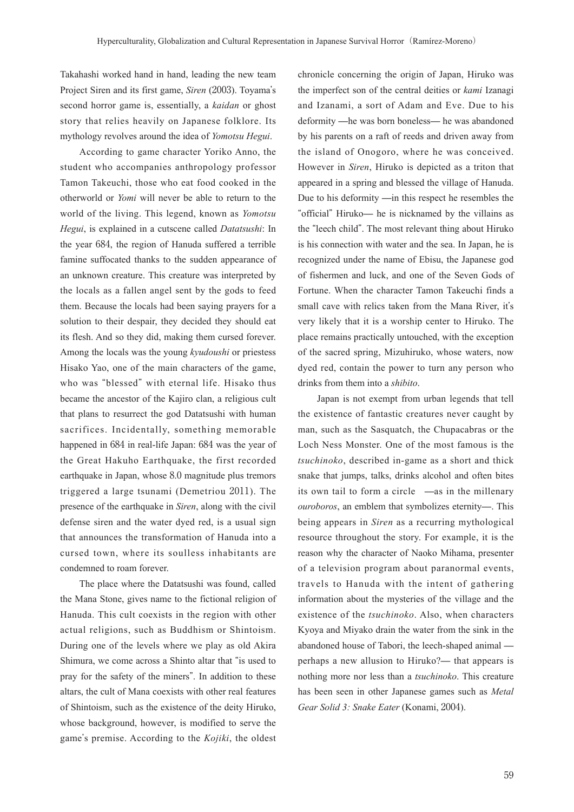Takahashi worked hand in hand, leading the new team Project Siren and its first game, *Siren* (2003). Toyama's second horror game is, essentially, a *kaidan* or ghost story that relies heavily on Japanese folklore. Its mythology revolves around the idea of *Yomotsu Hegui*.

According to game character Yoriko Anno, the student who accompanies anthropology professor Tamon Takeuchi, those who eat food cooked in the otherworld or *Yomi* will never be able to return to the world of the living. This legend, known as *Yomotsu Hegui*, is explained in a cutscene called *Datatsushi*: In the year 684, the region of Hanuda suffered a terrible famine suffocated thanks to the sudden appearance of an unknown creature. This creature was interpreted by the locals as a fallen angel sent by the gods to feed them. Because the locals had been saying prayers for a solution to their despair, they decided they should eat its flesh. And so they did, making them cursed forever. Among the locals was the young *kyudoushi* or priestess Hisako Yao, one of the main characters of the game, who was "blessed" with eternal life. Hisako thus became the ancestor of the Kajiro clan, a religious cult that plans to resurrect the god Datatsushi with human sacrifices. Incidentally, something memorable happened in 684 in real-life Japan: 684 was the year of the Great Hakuho Earthquake, the first recorded earthquake in Japan, whose 8.0 magnitude plus tremors triggered a large tsunami (Demetriou 2011). The presence of the earthquake in *Siren*, along with the civil defense siren and the water dyed red, is a usual sign that announces the transformation of Hanuda into a cursed town, where its soulless inhabitants are condemned to roam forever.

The place where the Datatsushi was found, called the Mana Stone, gives name to the fictional religion of Hanuda. This cult coexists in the region with other actual religions, such as Buddhism or Shintoism. During one of the levels where we play as old Akira Shimura, we come across a Shinto altar that "is used to pray for the safety of the miners". In addition to these altars, the cult of Mana coexists with other real features of Shintoism, such as the existence of the deity Hiruko, whose background, however, is modified to serve the game's premise. According to the *Kojiki*, the oldest

chronicle concerning the origin of Japan, Hiruko was the imperfect son of the central deities or *kami* Izanagi and Izanami, a sort of Adam and Eve. Due to his deformity ̶he was born boneless̶ he was abandoned by his parents on a raft of reeds and driven away from the island of Onogoro, where he was conceived. However in *Siren*, Hiruko is depicted as a triton that appeared in a spring and blessed the village of Hanuda. Due to his deformity  $\frac{1}{\pi}$  this respect he resembles the "official" Hiruko̶ he is nicknamed by the villains as the "leech child". The most relevant thing about Hiruko is his connection with water and the sea. In Japan, he is recognized under the name of Ebisu, the Japanese god of fishermen and luck, and one of the Seven Gods of Fortune. When the character Tamon Takeuchi finds a small cave with relics taken from the Mana River, it's very likely that it is a worship center to Hiruko. The place remains practically untouched, with the exception of the sacred spring, Mizuhiruko, whose waters, now dyed red, contain the power to turn any person who drinks from them into a *shibito*.

Japan is not exempt from urban legends that tell the existence of fantastic creatures never caught by man, such as the Sasquatch, the Chupacabras or the Loch Ness Monster. One of the most famous is the *tsuchinoko*, described in-game as a short and thick snake that jumps, talks, drinks alcohol and often bites its own tail to form a circle —as in the millenary *ouroboros*, an emblem that symbolizes eternity̶. This being appears in *Siren* as a recurring mythological resource throughout the story. For example, it is the reason why the character of Naoko Mihama, presenter of a television program about paranormal events, travels to Hanuda with the intent of gathering information about the mysteries of the village and the existence of the *tsuchinoko*. Also, when characters Kyoya and Miyako drain the water from the sink in the abandoned house of Tabori, the leech-shaped animal ̶ perhaps a new allusion to Hiruko?̶ that appears is nothing more nor less than a *tsuchinoko*. This creature has been seen in other Japanese games such as *Metal Gear Solid 3: Snake Eater* (Konami, 2004).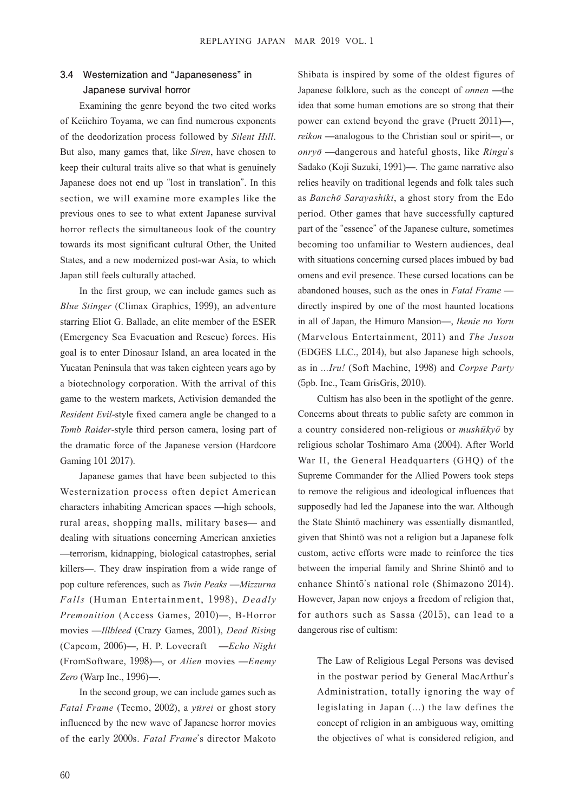# **3.4 Westernization and "Japaneseness" in Japanese survival horror**

Examining the genre beyond the two cited works of Keiichiro Toyama, we can find numerous exponents of the deodorization process followed by *Silent Hill*. But also, many games that, like *Siren*, have chosen to keep their cultural traits alive so that what is genuinely Japanese does not end up "lost in translation". In this section, we will examine more examples like the previous ones to see to what extent Japanese survival horror reflects the simultaneous look of the country towards its most significant cultural Other, the United States, and a new modernized post-war Asia, to which Japan still feels culturally attached.

In the first group, we can include games such as *Blue Stinger* (Climax Graphics, 1999), an adventure starring Eliot G. Ballade, an elite member of the ESER (Emergency Sea Evacuation and Rescue) forces. His goal is to enter Dinosaur Island, an area located in the Yucatan Peninsula that was taken eighteen years ago by a biotechnology corporation. With the arrival of this game to the western markets, Activision demanded the *Resident Evil*-style fixed camera angle be changed to a *Tomb Raider*-style third person camera, losing part of the dramatic force of the Japanese version (Hardcore Gaming 101 2017).

Japanese games that have been subjected to this Westernization process often depict American characters inhabiting American spaces ̶high schools, rural areas, shopping malls, military bases̶ and dealing with situations concerning American anxieties ̶terrorism, kidnapping, biological catastrophes, serial killers̶. They draw inspiration from a wide range of pop culture references, such as *Twin Peaks* ̶*Mizzurna Falls* (Human Entertainment, 1998), *Deadly Premonition* (Access Games, 2010)̶, B-Horror movies ̶*Illbleed* (Crazy Games, 2001), *Dead Rising* (Capcom, 2006)̶, H. P. Lovecraft ̶*Echo Night* (FromSoftware, 1998)̶, or *Alien* movies ̶*Enemy Zero* (Warp Inc., 1996)̶.

In the second group, we can include games such as *Fatal Frame* (Tecmo, 2002), a *y*ū*rei* or ghost story influenced by the new wave of Japanese horror movies of the early 2000s. *Fatal Frame*'s director Makoto

Shibata is inspired by some of the oldest figures of Japanese folklore, such as the concept of *onnen* - the idea that some human emotions are so strong that their power can extend beyond the grave (Pruett 2011)̶, *reikon* —analogous to the Christian soul or spirit—, or *onry*ō ̶dangerous and hateful ghosts, like *Ringu*'s Sadako (Koji Suzuki, 1991)̶. The game narrative also relies heavily on traditional legends and folk tales such as *Banch*ō *Sarayashiki*, a ghost story from the Edo period. Other games that have successfully captured part of the "essence" of the Japanese culture, sometimes becoming too unfamiliar to Western audiences, deal with situations concerning cursed places imbued by bad omens and evil presence. These cursed locations can be abandoned houses, such as the ones in *Fatal Frame* ̶ directly inspired by one of the most haunted locations in all of Japan, the Himuro Mansion̶, *Ikenie no Yoru* (Marvelous Entertainment, 2011) and *The Jusou* (EDGES LLC., 2014), but also Japanese high schools, as in *...Iru!* (Soft Machine, 1998) and *Corpse Party* (5pb. Inc., Team GrisGris, 2010).

Cultism has also been in the spotlight of the genre. Concerns about threats to public safety are common in a country considered non-religious or *mush*ū*ky*ō by religious scholar Toshimaro Ama (2004). After World War II, the General Headquarters (GHQ) of the Supreme Commander for the Allied Powers took steps to remove the religious and ideological influences that supposedly had led the Japanese into the war. Although the State Shintō machinery was essentially dismantled, given that Shintō was not a religion but a Japanese folk custom, active efforts were made to reinforce the ties between the imperial family and Shrine Shintō and to enhance Shintō's national role (Shimazono 2014). However, Japan now enjoys a freedom of religion that, for authors such as Sassa (2015), can lead to a dangerous rise of cultism:

The Law of Religious Legal Persons was devised in the postwar period by General MacArthur's Administration, totally ignoring the way of legislating in Japan (...) the law defines the concept of religion in an ambiguous way, omitting the objectives of what is considered religion, and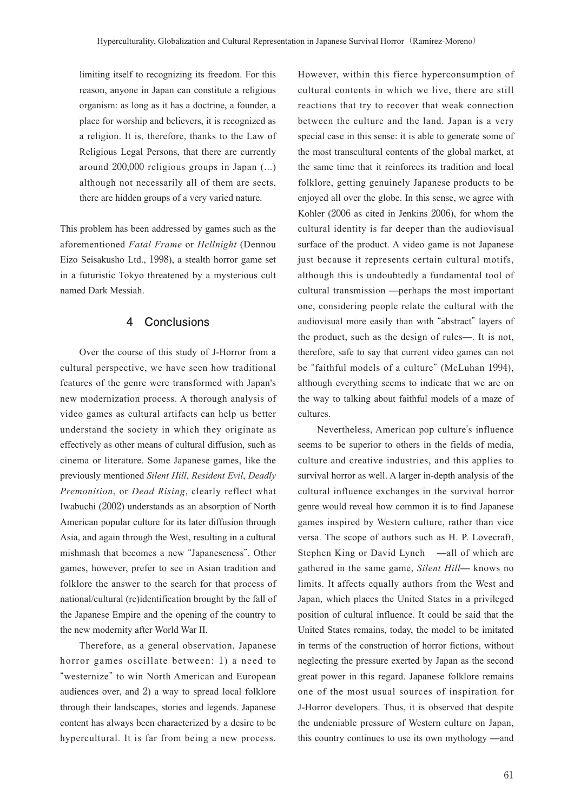limiting itself to recognizing its freedom. For this reason, anyone in Japan can constitute a religious organism: as long as it has a doctrine, a founder, a place for worship and believers, it is recognized as a religion. It is, therefore, thanks to the Law of Religious Legal Persons, that there are currently around 200,000 religious groups in Japan (...) although not necessarily all of them are sects, there are hidden groups of a very varied nature.

This problem has been addressed by games such as the aforementioned *Fatal Frame* or *Hellnight* (Dennou Eizo Seisakusho Ltd., 1998), a stealth horror game set in a futuristic Tokyo threatened by a mysterious cult named Dark Messiah.

### **4 Conclusions**

Over the course of this study of J-Horror from a cultural perspective, we have seen how traditional features of the genre were transformed with Japan's new modernization process. A thorough analysis of video games as cultural artifacts can help us better understand the society in which they originate as effectively as other means of cultural diffusion, such as cinema or literature. Some Japanese games, like the previously mentioned *Silent Hill*, *Resident Evil*, *Deadly Premonition*, or *Dead Rising*, clearly reflect what Iwabuchi (2002) understands as an absorption of North American popular culture for its later diffusion through Asia, and again through the West, resulting in a cultural mishmash that becomes a new "Japaneseness". Other games, however, prefer to see in Asian tradition and folklore the answer to the search for that process of national/cultural (re)identification brought by the fall of the Japanese Empire and the opening of the country to the new modernity after World War II.

Therefore, as a general observation, Japanese horror games oscillate between: 1) a need to "westernize" to win North American and European audiences over, and 2) a way to spread local folklore through their landscapes, stories and legends. Japanese content has always been characterized by a desire to be hypercultural. It is far from being a new process. However, within this fierce hyperconsumption of cultural contents in which we live, there are still reactions that try to recover that weak connection between the culture and the land. Japan is a very special case in this sense: it is able to generate some of the most transcultural contents of the global market, at the same time that it reinforces its tradition and local folklore, getting genuinely Japanese products to be enjoyed all over the globe. In this sense, we agree with Kohler (2006 as cited in Jenkins 2006), for whom the cultural identity is far deeper than the audiovisual surface of the product. A video game is not Japanese just because it represents certain cultural motifs, although this is undoubtedly a fundamental tool of cultural transmission ̶perhaps the most important one, considering people relate the cultural with the audiovisual more easily than with "abstract" layers of the product, such as the design of rules̶. It is not, therefore, safe to say that current video games can not be "faithful models of a culture" (McLuhan 1994), although everything seems to indicate that we are on the way to talking about faithful models of a maze of cultures.

Nevertheless, American pop culture's influence seems to be superior to others in the fields of media, culture and creative industries, and this applies to survival horror as well. A larger in-depth analysis of the cultural influence exchanges in the survival horror genre would reveal how common it is to find Japanese games inspired by Western culture, rather than vice versa. The scope of authors such as H. P. Lovecraft, Stephen King or David Lynch —all of which are gathered in the same game, *Silent Hill*̶ knows no limits. It affects equally authors from the West and Japan, which places the United States in a privileged position of cultural influence. It could be said that the United States remains, today, the model to be imitated in terms of the construction of horror fictions, without neglecting the pressure exerted by Japan as the second great power in this regard. Japanese folklore remains one of the most usual sources of inspiration for J-Horror developers. Thus, it is observed that despite the undeniable pressure of Western culture on Japan, this country continues to use its own mythology —and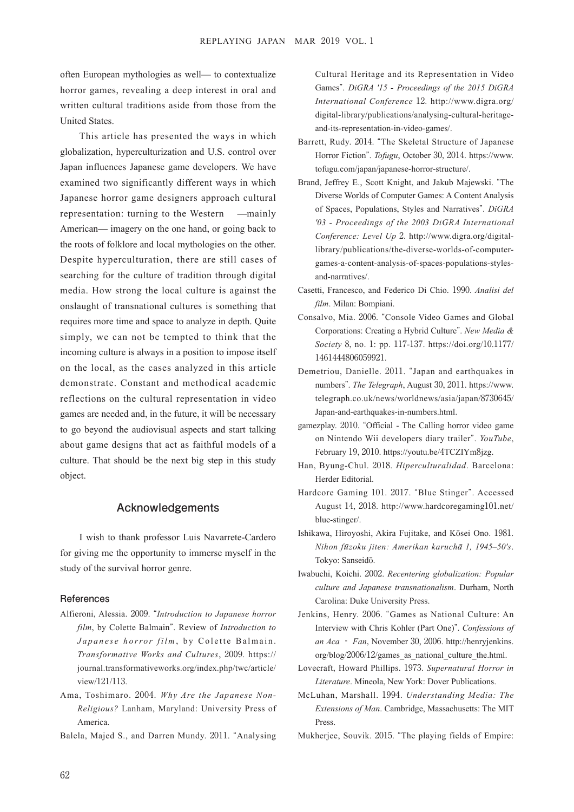often European mythologies as well̶ to contextualize horror games, revealing a deep interest in oral and written cultural traditions aside from those from the United States.

This article has presented the ways in which globalization, hyperculturization and U.S. control over Japan influences Japanese game developers. We have examined two significantly different ways in which Japanese horror game designers approach cultural representation: turning to the Western —mainly American̶ imagery on the one hand, or going back to the roots of folklore and local mythologies on the other. Despite hyperculturation, there are still cases of searching for the culture of tradition through digital media. How strong the local culture is against the onslaught of transnational cultures is something that requires more time and space to analyze in depth. Quite simply, we can not be tempted to think that the incoming culture is always in a position to impose itself on the local, as the cases analyzed in this article demonstrate. Constant and methodical academic reflections on the cultural representation in video games are needed and, in the future, it will be necessary to go beyond the audiovisual aspects and start talking about game designs that act as faithful models of a culture. That should be the next big step in this study object.

### **Acknowledgements**

I wish to thank professor Luis Navarrete-Cardero for giving me the opportunity to immerse myself in the study of the survival horror genre.

#### **References**

- Alfieroni, Alessia. 2009. "*Introduction to Japanese horror film*, by Colette Balmain". Review of *Introduction to Japanese horror film*, by Colette Balmain. *Transformative Works and Cultures*, 2009. https:// journal.transformativeworks.org/index.php/twc/article/ view/121/113.
- Ama, Toshimaro. 2004. *Why Are the Japanese Non-Religious?* Lanham, Maryland: University Press of America.
- Balela, Majed S., and Darren Mundy. 2011. "Analysing

Cultural Heritage and its Representation in Video Games". *DiGRA '15 - Proceedings of the 2015 DiGRA International Conference* 12. http://www.digra.org/ digital-library/publications/analysing-cultural-heritageand-its-representation-in-video-games/.

- Barrett, Rudy. 2014. "The Skeletal Structure of Japanese Horror Fiction". *Tofugu*, October 30, 2014. https://www. tofugu.com/japan/japanese-horror-structure/.
- Brand, Jeffrey E., Scott Knight, and Jakub Majewski. "The Diverse Worlds of Computer Games: A Content Analysis of Spaces, Populations, Styles and Narratives". *DiGRA '03 - Proceedings of the 2003 DiGRA International Conference: Level Up* 2. http://www.digra.org/digitallibrary/publications/the-diverse-worlds-of-computergames-a-content-analysis-of-spaces-populations-stylesand-narratives/.
- Casetti, Francesco, and Federico Di Chio. 1990. *Analisi del film*. Milan: Bompiani.
- Consalvo, Mia. 2006. "Console Video Games and Global Corporations: Creating a Hybrid Culture". *New Media & Society* 8, no. 1: pp. 117-137. https://doi.org/10.1177/ 1461444806059921.
- Demetriou, Danielle. 2011. "Japan and earthquakes in numbers". *The Telegraph*, August 30, 2011. https://www. telegraph.co.uk/news/worldnews/asia/japan/8730645/ Japan-and-earthquakes-in-numbers.html.
- gamezplay. 2010. "Official The Calling horror video game on Nintendo Wii developers diary trailer". *YouTube*, February 19, 2010. https://youtu.be/4TCZIYm8jzg.
- Han, Byung-Chul. 2018. *Hiperculturalidad*. Barcelona: Herder Editorial.
- Hardcore Gaming 101. 2017. "Blue Stinger". Accessed August 14, 2018. http://www.hardcoregaming101.net/ blue-stinger/.
- Ishikawa, Hiroyoshi, Akira Fujitake, and Kōsei Ono. 1981. *Nihon f*ū*zoku jiten: Amerikan karuch*ā *1, 1945–50's*. Tokyo: Sanseidō.
- Iwabuchi, Koichi. 2002. *Recentering globalization: Popular culture and Japanese transnationalism*. Durham, North Carolina: Duke University Press.
- Jenkins, Henry. 2006. "Games as National Culture: An Interview with Chris Kohler (Part One)". *Confessions of an Aca* ‐ *Fan*, November 30, 2006. http://henryjenkins. org/blog/2006/12/games\_as\_national\_culture\_the.html.
- Lovecraft, Howard Phillips. 1973. *Supernatural Horror in Literature*. Mineola, New York: Dover Publications.
- McLuhan, Marshall. 1994. *Understanding Media: The Extensions of Man*. Cambridge, Massachusetts: The MIT Press.
- Mukherjee, Souvik. 2015. "The playing fields of Empire: